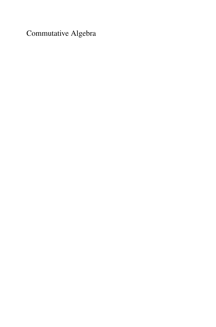Commutative Algebra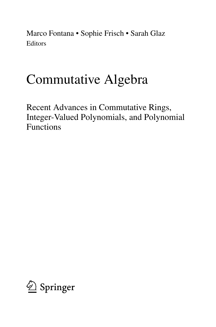Marco Fontana • Sophie Frisch • Sarah Glaz Editors

## Commutative Algebra

Recent Advances in Commutative Rings, Integer-Valued Polynomials, and Polynomial Functions

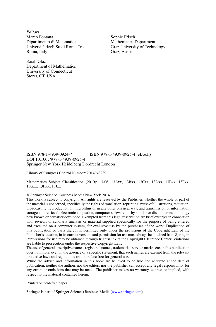*Editors* Marco Fontana Dipartimento di Matematica Università degli Studi Roma Tre Roma, Italy

Sarah Glaz Department of Mathematics University of Connecticut Storrs, CT, USA

Sophie Frisch Mathematics Department Graz University of Technology Graz, Austria

ISBN 978-1-4939-0924-7 ISBN 978-1-4939-0925-4 (eBook) DOI 10.1007/978-1-4939-0925-4 Springer New York Heidelberg Dordrecht London

Library of Congress Control Number: 2014943239

Mathematics Subject Classification (2010): 13-06, 13Axx, 13Bxx, 13Cxx, 13Dxx, 13Exx, 13Fxx, 13Gxx, 13Hxx, 13Jxx

## © Springer Science+Business Media New York 2014

This work is subject to copyright. All rights are reserved by the Publisher, whether the whole or part of the material is concerned, specifically the rights of translation, reprinting, reuse of illustrations, recitation, broadcasting, reproduction on microfilms or in any other physical way, and transmission or information storage and retrieval, electronic adaptation, computer software, or by similar or dissimilar methodology now known or hereafter developed. Exempted from this legal reservation are brief excerpts in connection with reviews or scholarly analysis or material supplied specifically for the purpose of being entered and executed on a computer system, for exclusive use by the purchaser of the work. Duplication of this publication or parts thereof is permitted only under the provisions of the Copyright Law of the Publisher's location, in its current version, and permission for use must always be obtained from Springer. Permissions for use may be obtained through RightsLink at the Copyright Clearance Center. Violations are liable to prosecution under the respective Copyright Law.

The use of general descriptive names, registered names, trademarks, service marks, etc. in this publication does not imply, even in the absence of a specific statement, that such names are exempt from the relevant protective laws and regulations and therefore free for general use.

While the advice and information in this book are believed to be true and accurate at the date of publication, neither the authors nor the editors nor the publisher can accept any legal responsibility for any errors or omissions that may be made. The publisher makes no warranty, express or implied, with respect to the material contained herein.

Printed on acid-free paper

Springer is part of Springer Science+Business Media [\(www.springer.com\)](www.springer.com)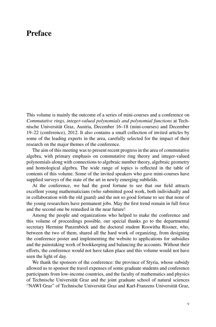## **Preface**

This volume is mainly the outcome of a series of mini-courses and a conference on *Commutative rings, integer-valued polynomials and polynomial functions* at Technische Universität Graz, Austria, December 16–18 (mini-courses) and December 19–22 (conference), 2012. It also contains a small collection of invited articles by some of the leading experts in the area, carefully selected for the impact of their research on the major themes of the conference.

The aim of this meeting was to present recent progress in the area of commutative algebra, with primary emphasis on commutative ring theory and integer-valued polynomials along with connections to algebraic number theory, algebraic geometry and homological algebra. The wide range of topics is reflected in the table of contents of this volume. Some of the invited speakers who gave mini-courses have supplied surveys of the state of the art in newly emerging subfields.

At the conference, we had the good fortune to see that our field attracts excellent young mathematicians (who submitted good work, both individually and in collaboration with the old guard) and the not so good fortune to see that none of the young researchers have permanent jobs. May the first trend remain in full force and the second one be remedied in the near future!

Among the people and organizations who helped to make the conference and this volume of proceedings possible, our special thanks go to the departmental secretary Hermine Panzenböck and the doctoral student Roswitha Rissner, who, between the two of them, shared all the hard work of organizing, from designing the conference poster and implementing the website to applications for subsidies and the painstaking work of bookkeeping and balancing the accounts. Without their efforts, the conference would not have taken place and this volume would not have seen the light of day.

We thank the sponsors of the conference: the province of Styria, whose subsidy allowed us to sponsor the travel expenses of some graduate students and conference participants from low-income countries, and the faculty of mathematics and physics of Technische Universität Graz and the joint graduate school of natural sciences "NAWI Graz" of Technische Universität Graz and Karl-Franzens Universität Graz,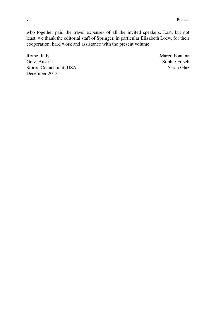who together paid the travel expenses of all the invited speakers. Last, but not least, we thank the editorial staff of Springer, in particular Elizabeth Loew, for their cooperation, hard work and assistance with the present volume.

Rome, Italy Marco Fontana<br>
Graz, Austria (Graz, Austria (Graz, Austria (Graz, Austria (Graz) Storrs, Connecticut, USA December 2013

Sophie Frisch<br>Sarah Glaz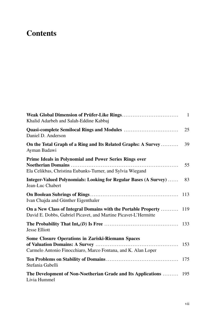## **Contents**

| Khalid Adarbeh and Salah-Eddine Kabbaj                                                                                           |     |
|----------------------------------------------------------------------------------------------------------------------------------|-----|
| Daniel D. Anderson                                                                                                               | 25  |
| On the Total Graph of a Ring and Its Related Graphs: A Survey<br>Ayman Badawi                                                    | 39  |
| Prime Ideals in Polynomial and Power Series Rings over<br>Ela Celikbas, Christina Eubanks-Turner, and Sylvia Wiegand             | 55  |
| Integer-Valued Polynomials: Looking for Regular Bases (A Survey)<br>Jean-Luc Chabert                                             | 83  |
| Ivan Chajda and Günther Eigenthaler                                                                                              |     |
| On a New Class of Integral Domains with the Portable Property<br>David E. Dobbs, Gabriel Picavet, and Martine Picavet-L'Hermitte | 119 |
| <b>Jesse Elliott</b>                                                                                                             |     |
| <b>Some Closure Operations in Zariski-Riemann Spaces</b><br>Carmelo Antonio Finocchiaro, Marco Fontana, and K. Alan Loper        |     |
| Stefania Gabelli                                                                                                                 | 175 |
| The Development of Non-Noetherian Grade and Its Applications  195<br>Livia Hummel                                                |     |